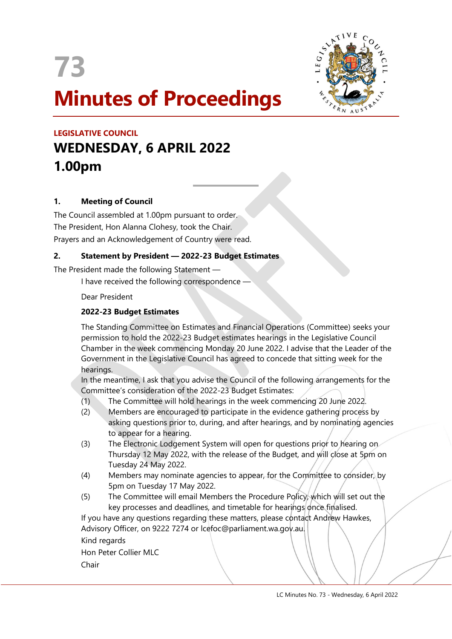



# LEGISLATIVE COUNCIL WEDNESDAY, 6 APRIL 2022 1.00pm

# 1. Meeting of Council

The Council assembled at 1.00pm pursuant to order. The President, Hon Alanna Clohesy, took the Chair. Prayers and an Acknowledgement of Country were read.

#### 2. Statement by President — 2022-23 Budget Estimates

 $\overline{a}$ 

The President made the following Statement —

I have received the following correspondence -

Dear President

# 2022-23 Budget Estimates

The Standing Committee on Estimates and Financial Operations (Committee) seeks your permission to hold the 2022-23 Budget estimates hearings in the Legislative Council Chamber in the week commencing Monday 20 June 2022. I advise that the Leader of the Government in the Legislative Council has agreed to concede that sitting week for the hearings.

In the meantime, I ask that you advise the Council of the following arrangements for the Committee's consideration of the 2022-23 Budget Estimates:

- (1) The Committee will hold hearings in the week commencing 20 June 2022.
- (2) Members are encouraged to participate in the evidence gathering process by asking questions prior to, during, and after hearings, and by nominating agencies to appear for a hearing.
- (3) The Electronic Lodgement System will open for questions prior to hearing on Thursday 12 May 2022, with the release of the Budget, and will close at 5pm on Tuesday 24 May 2022.
- (4) Members may nominate agencies to appear, for the Committee to consider, by 5pm on Tuesday 17 May 2022.
- (5) The Committee will email Members the Procedure Policy, which will set out the key processes and deadlines, and timetable for hearings once finalised.

If you have any questions regarding these matters, please contact Andrew Hawkes, Advisory Officer, on 9222 7274 or Icefoc@parliament.wa.gov.au.

Kind regards

Hon Peter Collier MLC Chair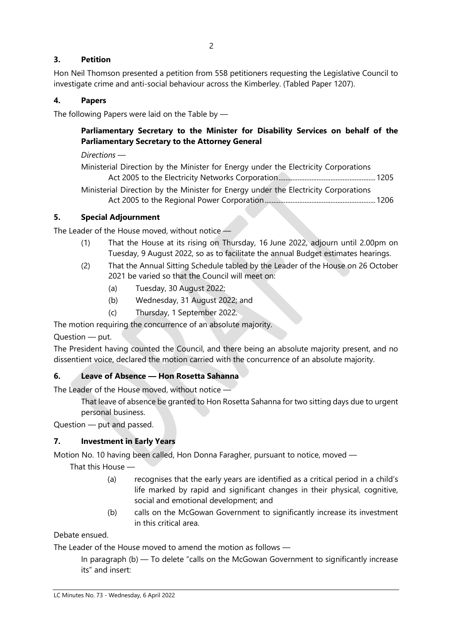# 3. Petition

Hon Neil Thomson presented a petition from 558 petitioners requesting the Legislative Council to investigate crime and anti-social behaviour across the Kimberley. (Tabled Paper 1207).

## 4. Papers

The following Papers were laid on the Table by —

# Parliamentary Secretary to the Minister for Disability Services on behalf of the Parliamentary Secretary to the Attorney General

Directions —

Ministerial Direction by the Minister for Energy under the Electricity Corporations Act 2005 to the Electricity Networks Corporation ........................................................ 1205

Ministerial Direction by the Minister for Energy under the Electricity Corporations Act 2005 to the Regional Power Corporation ................................................................ 1206

#### 5. Special Adjournment

The Leader of the House moved, without notice —

- (1) That the House at its rising on Thursday, 16 June 2022, adjourn until 2.00pm on Tuesday, 9 August 2022, so as to facilitate the annual Budget estimates hearings.
- (2) That the Annual Sitting Schedule tabled by the Leader of the House on 26 October 2021 be varied so that the Council will meet on:
	- (a) Tuesday, 30 August 2022;
	- (b) Wednesday, 31 August 2022; and
	- (c) Thursday, 1 September 2022.

The motion requiring the concurrence of an absolute majority.

Question — put.

The President having counted the Council, and there being an absolute majority present, and no dissentient voice, declared the motion carried with the concurrence of an absolute majority.

#### 6. Leave of Absence — Hon Rosetta Sahanna

The Leader of the House moved, without notice —

That leave of absence be granted to Hon Rosetta Sahanna for two sitting days due to urgent personal business.

Question — put and passed.

#### 7. Investment in Early Years

Motion No. 10 having been called, Hon Donna Faragher, pursuant to notice, moved —

That this House —

- (a) recognises that the early years are identified as a critical period in a child's life marked by rapid and significant changes in their physical, cognitive, social and emotional development; and
- (b) calls on the McGowan Government to significantly increase its investment in this critical area.

Debate ensued.

The Leader of the House moved to amend the motion as follows —

In paragraph (b) — To delete "calls on the McGowan Government to significantly increase its" and insert: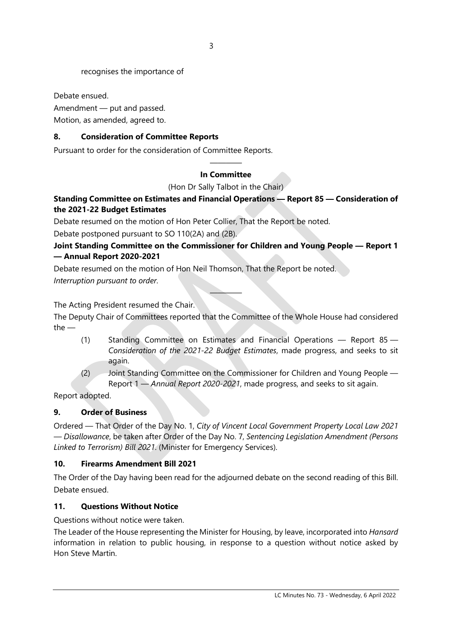recognises the importance of

Debate ensued.

Amendment — put and passed. Motion, as amended, agreed to.

#### 8. Consideration of Committee Reports

Pursuant to order for the consideration of Committee Reports.

#### ———— In Committee

(Hon Dr Sally Talbot in the Chair)

#### Standing Committee on Estimates and Financial Operations — Report 85 — Consideration of the 2021-22 Budget Estimates

Debate resumed on the motion of Hon Peter Collier, That the Report be noted.

Debate postponed pursuant to SO 110(2A) and (2B).

## Joint Standing Committee on the Commissioner for Children and Young People — Report 1 — Annual Report 2020-2021

Debate resumed on the motion of Hon Neil Thomson, That the Report be noted. Interruption pursuant to order.

The Acting President resumed the Chair.

The Deputy Chair of Committees reported that the Committee of the Whole House had considered the —

————

- (1) Standing Committee on Estimates and Financial Operations Report 85 Consideration of the 2021-22 Budget Estimates, made progress, and seeks to sit again.
- (2) Joint Standing Committee on the Commissioner for Children and Young People Report 1 — Annual Report 2020-2021, made progress, and seeks to sit again.

Report adopted.

#### 9. Order of Business

Ordered — That Order of the Day No. 1, City of Vincent Local Government Property Local Law 2021 — Disallowance, be taken after Order of the Day No. 7, Sentencing Legislation Amendment (Persons Linked to Terrorism) Bill 2021. (Minister for Emergency Services).

#### 10. Firearms Amendment Bill 2021

The Order of the Day having been read for the adjourned debate on the second reading of this Bill. Debate ensued.

#### 11. Questions Without Notice

Questions without notice were taken.

The Leader of the House representing the Minister for Housing, by leave, incorporated into Hansard information in relation to public housing, in response to a question without notice asked by Hon Steve Martin.